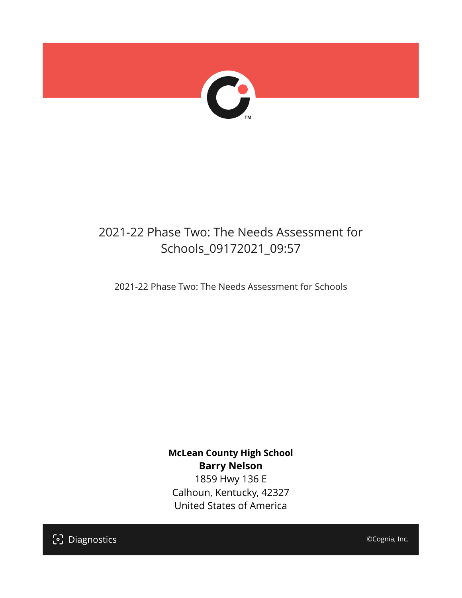

## 2021-22 Phase Two: The Needs Assessment for Schools\_09172021\_09:57

2021-22 Phase Two: The Needs Assessment for Schools

**McLean County High School Barry Nelson** 1859 Hwy 136 E Calhoun, Kentucky, 42327 United States of America

[၁] Diagnostics

©Cognia, Inc.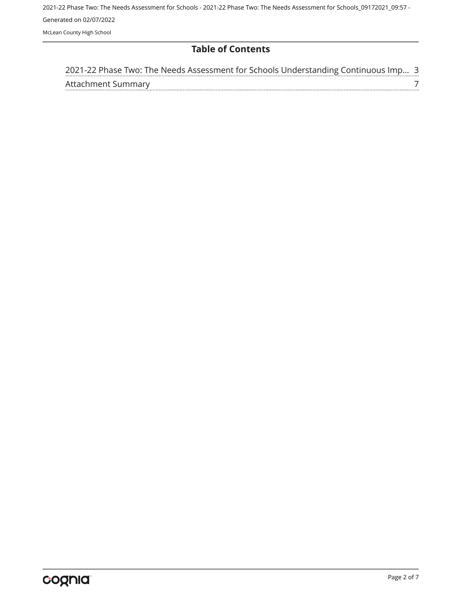#### **Table of Contents**

|                    | 2021-22 Phase Two: The Needs Assessment for Schools Understanding Continuous Imp 3 |  |  |  |
|--------------------|------------------------------------------------------------------------------------|--|--|--|
| Attachment Summary |                                                                                    |  |  |  |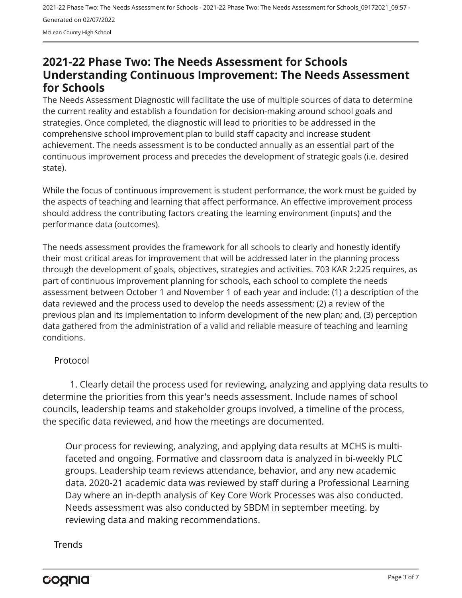### <span id="page-2-0"></span>**2021-22 Phase Two: The Needs Assessment for Schools Understanding Continuous Improvement: The Needs Assessment for Schools**

The Needs Assessment Diagnostic will facilitate the use of multiple sources of data to determine the current reality and establish a foundation for decision-making around school goals and strategies. Once completed, the diagnostic will lead to priorities to be addressed in the comprehensive school improvement plan to build staff capacity and increase student achievement. The needs assessment is to be conducted annually as an essential part of the continuous improvement process and precedes the development of strategic goals (i.e. desired state).

While the focus of continuous improvement is student performance, the work must be guided by the aspects of teaching and learning that affect performance. An effective improvement process should address the contributing factors creating the learning environment (inputs) and the performance data (outcomes).

The needs assessment provides the framework for all schools to clearly and honestly identify their most critical areas for improvement that will be addressed later in the planning process through the development of goals, objectives, strategies and activities. 703 KAR 2:225 requires, as part of continuous improvement planning for schools, each school to complete the needs assessment between October 1 and November 1 of each year and include: (1) a description of the data reviewed and the process used to develop the needs assessment; (2) a review of the previous plan and its implementation to inform development of the new plan; and, (3) perception data gathered from the administration of a valid and reliable measure of teaching and learning conditions.

#### Protocol

1. Clearly detail the process used for reviewing, analyzing and applying data results to determine the priorities from this year's needs assessment. Include names of school councils, leadership teams and stakeholder groups involved, a timeline of the process, the specific data reviewed, and how the meetings are documented.

Our process for reviewing, analyzing, and applying data results at MCHS is multifaceted and ongoing. Formative and classroom data is analyzed in bi-weekly PLC groups. Leadership team reviews attendance, behavior, and any new academic data. 2020-21 academic data was reviewed by staff during a Professional Learning Day where an in-depth analysis of Key Core Work Processes was also conducted. Needs assessment was also conducted by SBDM in september meeting. by reviewing data and making recommendations.

#### **Trends**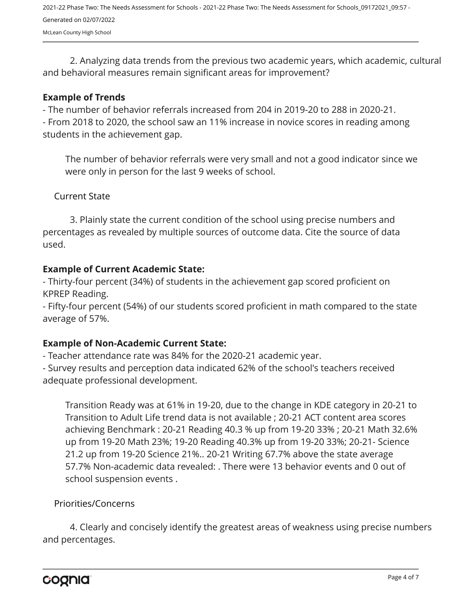2. Analyzing data trends from the previous two academic years, which academic, cultural and behavioral measures remain significant areas for improvement?

#### **Example of Trends**

- The number of behavior referrals increased from 204 in 2019-20 to 288 in 2020-21.

- From 2018 to 2020, the school saw an 11% increase in novice scores in reading among students in the achievement gap.

The number of behavior referrals were very small and not a good indicator since we were only in person for the last 9 weeks of school.

Current State

3. Plainly state the current condition of the school using precise numbers and percentages as revealed by multiple sources of outcome data. Cite the source of data used.

#### **Example of Current Academic State:**

- Thirty-four percent (34%) of students in the achievement gap scored proficient on KPREP Reading.

- Fifty-four percent (54%) of our students scored proficient in math compared to the state average of 57%.

#### **Example of Non-Academic Current State:**

- Teacher attendance rate was 84% for the 2020-21 academic year.

- Survey results and perception data indicated 62% of the school's teachers received adequate professional development.

Transition Ready was at 61% in 19-20, due to the change in KDE category in 20-21 to Transition to Adult Life trend data is not available ; 20-21 ACT content area scores achieving Benchmark : 20-21 Reading 40.3 % up from 19-20 33% ; 20-21 Math 32.6% up from 19-20 Math 23%; 19-20 Reading 40.3% up from 19-20 33%; 20-21- Science 21.2 up from 19-20 Science 21%.. 20-21 Writing 67.7% above the state average 57.7% Non-academic data revealed: . There were 13 behavior events and 0 out of school suspension events .

#### Priorities/Concerns

4. Clearly and concisely identify the greatest areas of weakness using precise numbers and percentages.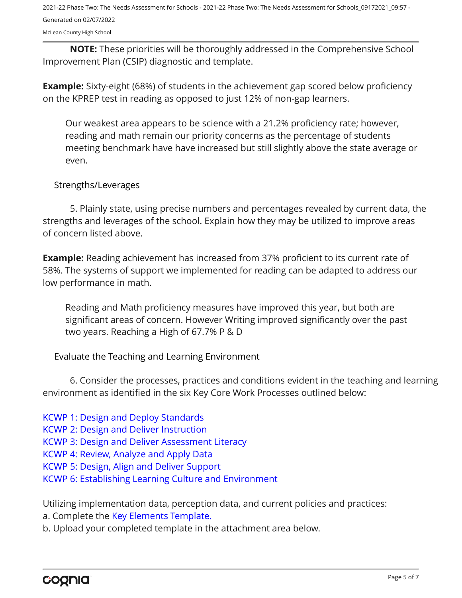McLean County High School

**NOTE:** These priorities will be thoroughly addressed in the Comprehensive School Improvement Plan (CSIP) diagnostic and template.

**Example:** Sixty-eight (68%) of students in the achievement gap scored below proficiency on the KPREP test in reading as opposed to just 12% of non-gap learners.

Our weakest area appears to be science with a 21.2% proficiency rate; however, reading and math remain our priority concerns as the percentage of students meeting benchmark have have increased but still slightly above the state average or even.

#### Strengths/Leverages

5. Plainly state, using precise numbers and percentages revealed by current data, the strengths and leverages of the school. Explain how they may be utilized to improve areas of concern listed above.

**Example:** Reading achievement has increased from 37% proficient to its current rate of 58%. The systems of support we implemented for reading can be adapted to address our low performance in math.

Reading and Math proficiency measures have improved this year, but both are significant areas of concern. However Writing improved significantly over the past two years. Reaching a High of 67.7% P & D

Evaluate the Teaching and Learning Environment

6. Consider the processes, practices and conditions evident in the teaching and learning environment as identified in the six Key Core Work Processes outlined below:

[KCWP 1: Design and Deploy Standards](https://education.ky.gov/school/csip/Documents/KCWP%201%20Strategic%20Design%20and%20Deploy%20Standards.pdf)

[KCWP 2: Design and Deliver Instruction](https://education.ky.gov/school/csip/Documents/KCWP%202%20Strategic%20Design%20and%20Deliver%20Instruction.pdf)

[KCWP 3: Design and Deliver Assessment Literacy](https://education.ky.gov/school/csip/Documents/KCWP%203%20Strategic%20Design%20and%20Deliver%20Assessment%20Literacy.pdf)

[KCWP 4: Review, Analyze and Apply Data](https://education.ky.gov/school/csip/Documents/KCWP%204%20Strategic%20Review%20Analyze%20and%20Apply%20Data.pdf)

[KCWP 5: Design, Align and Deliver Support](https://education.ky.gov/school/csip/Documents/KCWP%205%20Strategic%20Design%20Align%20Deliver%20Support%20Processes.pdf)

[KCWP 6: Establishing Learning Culture and Environment](https://education.ky.gov/school/csip/Documents/KCWP%206%20Strategic%20Establish%20Learning%20Culture%20and%20Environment.pdf)

Utilizing implementation data, perception data, and current policies and practices:

a. Complete the [Key Elements Template.](https://education.ky.gov/school/csip/Documents/School%20Key%20Elements%20Template.docx)

b. Upload your completed template in the attachment area below.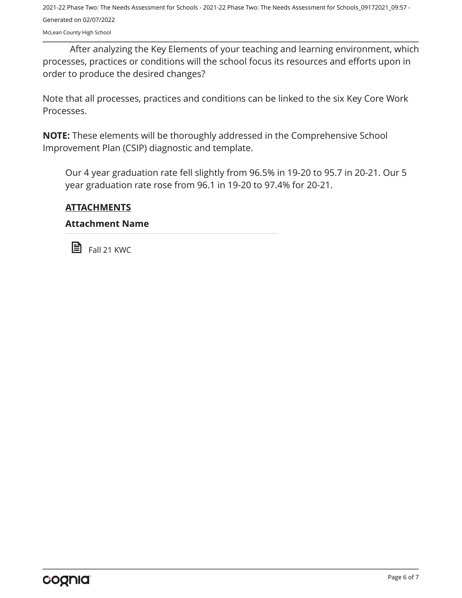McLean County High School

After analyzing the Key Elements of your teaching and learning environment, which processes, practices or conditions will the school focus its resources and efforts upon in order to produce the desired changes?

Note that all processes, practices and conditions can be linked to the six Key Core Work Processes.

**NOTE:** These elements will be thoroughly addressed in the Comprehensive School Improvement Plan (CSIP) diagnostic and template.

Our 4 year graduation rate fell slightly from 96.5% in 19-20 to 95.7 in 20-21. Our 5 year graduation rate rose from 96.1 in 19-20 to 97.4% for 20-21.

#### **ATTACHMENTS**

#### **Attachment Name**

**E** Fall 21 KWC